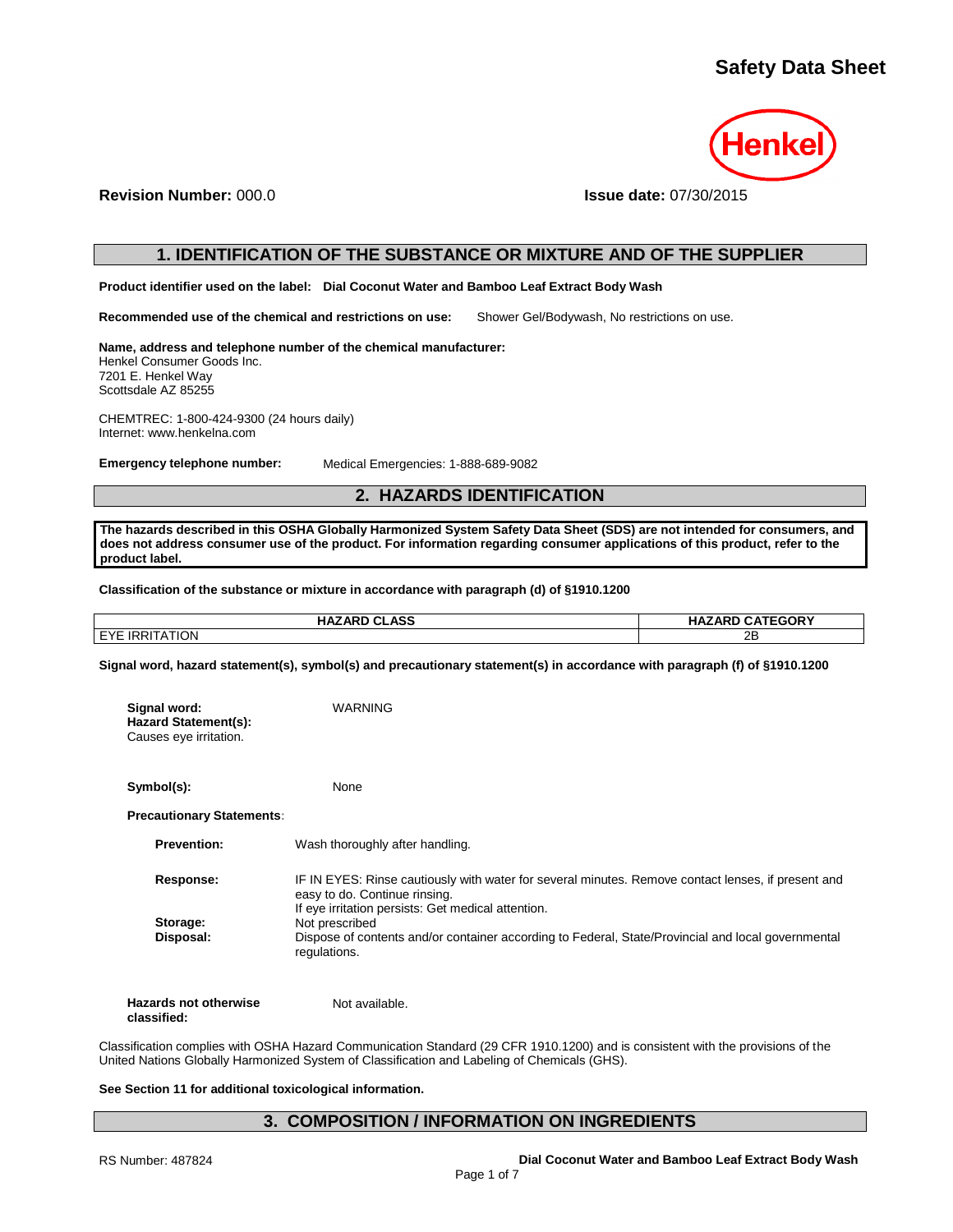

## **Revision Number:** 000.0 **Issue date:** 07/30/2015

## **1. IDENTIFICATION OF THE SUBSTANCE OR MIXTURE AND OF THE SUPPLIER**

**Product identifier used on the label: Dial Coconut Water and Bamboo Leaf Extract Body Wash**

**Recommended use of the chemical and restrictions on use:** Shower Gel/Bodywash, No restrictions on use.

**Name, address and telephone number of the chemical manufacturer:** Henkel Consumer Goods Inc. 7201 E. Henkel Way Scottsdale AZ 85255

CHEMTREC: 1-800-424-9300 (24 hours daily) Internet: www.henkelna.com

**Emergency telephone number:** Medical Emergencies: 1-888-689-9082

## **2. HAZARDS IDENTIFICATION**

**The hazards described in this OSHA Globally Harmonized System Safety Data Sheet (SDS) are not intended for consumers, and does not address consumer use of the product. For information regarding consumer applications of this product, refer to the product label.**

**Classification of the substance or mixture in accordance with paragraph (d) of §1910.1200**

| <b>HAZARD CLASS</b>   | <b>HAZARD CATEGORY</b> |
|-----------------------|------------------------|
| <b>EYE IRRITATION</b> | 2Β                     |

**Signal word, hazard statement(s), symbol(s) and precautionary statement(s) in accordance with paragraph (f) of §1910.1200**

| Signal word:<br><b>Hazard Statement(s):</b><br>Causes eye irritation. | <b>WARNING</b>                                                                                                                                                                            |
|-----------------------------------------------------------------------|-------------------------------------------------------------------------------------------------------------------------------------------------------------------------------------------|
| Symbol(s):                                                            | None                                                                                                                                                                                      |
| <b>Precautionary Statements:</b>                                      |                                                                                                                                                                                           |
| <b>Prevention:</b>                                                    | Wash thoroughly after handling.                                                                                                                                                           |
| Response:                                                             | IF IN EYES: Rinse cautiously with water for several minutes. Remove contact lenses, if present and<br>easy to do. Continue rinsing.<br>If eye irritation persists: Get medical attention. |
| Storage:<br>Disposal:                                                 | Not prescribed<br>Dispose of contents and/or container according to Federal, State/Provincial and local governmental<br>regulations.                                                      |
| <b>Hazards not otherwise</b>                                          | Not available.                                                                                                                                                                            |

**classified:**

Not available.

Classification complies with OSHA Hazard Communication Standard (29 CFR 1910.1200) and is consistent with the provisions of the United Nations Globally Harmonized System of Classification and Labeling of Chemicals (GHS).

### **See Section 11 for additional toxicological information.**

## **3. COMPOSITION / INFORMATION ON INGREDIENTS**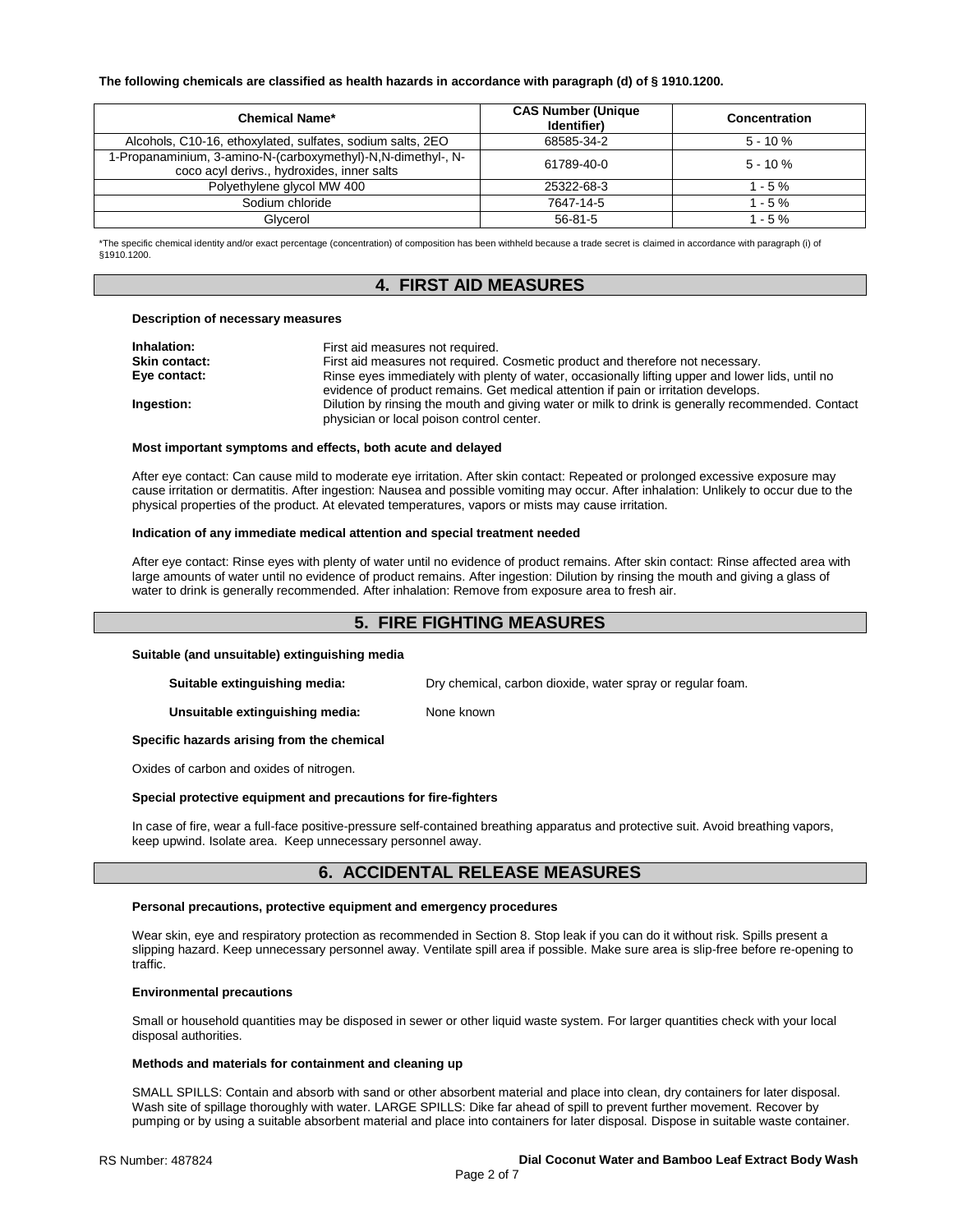#### **The following chemicals are classified as health hazards in accordance with paragraph (d) of § 1910.1200.**

| <b>Chemical Name*</b>                                                                                      | <b>CAS Number (Unique</b><br>Identifier) | Concentration |
|------------------------------------------------------------------------------------------------------------|------------------------------------------|---------------|
| Alcohols, C10-16, ethoxylated, sulfates, sodium salts, 2EO                                                 | 68585-34-2                               | $5 - 10 \%$   |
| 1-Propanaminium, 3-amino-N-(carboxymethyl)-N,N-dimethyl-, N-<br>coco acyl derivs., hydroxides, inner salts | 61789-40-0                               | $5 - 10 \%$   |
| Polyethylene glycol MW 400                                                                                 | 25322-68-3                               | $1 - 5 \%$    |
| Sodium chloride                                                                                            | 7647-14-5                                | $1 - 5%$      |
| Glvcerol                                                                                                   | $56 - 81 - 5$                            | 1 - 5 %       |

\*The specific chemical identity and/or exact percentage (concentration) of composition has been withheld because a trade secret is claimed in accordance with paragraph (i) of §1910.1200.

## **4. FIRST AID MEASURES**

#### **Description of necessary measures**

| Inhalation:   | First aid measures not required.                                                                                                                                                       |
|---------------|----------------------------------------------------------------------------------------------------------------------------------------------------------------------------------------|
| Skin contact: | First aid measures not required. Cosmetic product and therefore not necessary.                                                                                                         |
| Eye contact:  | Rinse eyes immediately with plenty of water, occasionally lifting upper and lower lids, until no<br>evidence of product remains. Get medical attention if pain or irritation develops. |
| Ingestion:    | Dilution by rinsing the mouth and giving water or milk to drink is generally recommended. Contact<br>physician or local poison control center.                                         |

#### **Most important symptoms and effects, both acute and delayed**

After eye contact: Can cause mild to moderate eye irritation. After skin contact: Repeated or prolonged excessive exposure may cause irritation or dermatitis. After ingestion: Nausea and possible vomiting may occur. After inhalation: Unlikely to occur due to the physical properties of the product. At elevated temperatures, vapors or mists may cause irritation.

#### **Indication of any immediate medical attention and special treatment needed**

After eye contact: Rinse eyes with plenty of water until no evidence of product remains. After skin contact: Rinse affected area with large amounts of water until no evidence of product remains. After ingestion: Dilution by rinsing the mouth and giving a glass of water to drink is generally recommended. After inhalation: Remove from exposure area to fresh air.

## **5. FIRE FIGHTING MEASURES**

#### **Suitable (and unsuitable) extinguishing media**

**Suitable extinguishing media:** Dry chemical, carbon dioxide, water spray or regular foam.

**Unsuitable extinguishing media:** None known

**Specific hazards arising from the chemical**

Oxides of carbon and oxides of nitrogen.

#### **Special protective equipment and precautions for fire-fighters**

In case of fire, wear a full-face positive-pressure self-contained breathing apparatus and protective suit. Avoid breathing vapors, keep upwind. Isolate area. Keep unnecessary personnel away.

## **6. ACCIDENTAL RELEASE MEASURES**

#### **Personal precautions, protective equipment and emergency procedures**

Wear skin, eye and respiratory protection as recommended in Section 8. Stop leak if you can do it without risk. Spills present a slipping hazard. Keep unnecessary personnel away. Ventilate spill area if possible. Make sure area is slip-free before re-opening to traffic.

#### **Environmental precautions**

Small or household quantities may be disposed in sewer or other liquid waste system. For larger quantities check with your local disposal authorities.

#### **Methods and materials for containment and cleaning up**

SMALL SPILLS: Contain and absorb with sand or other absorbent material and place into clean, dry containers for later disposal. Wash site of spillage thoroughly with water. LARGE SPILLS: Dike far ahead of spill to prevent further movement. Recover by pumping or by using a suitable absorbent material and place into containers for later disposal. Dispose in suitable waste container.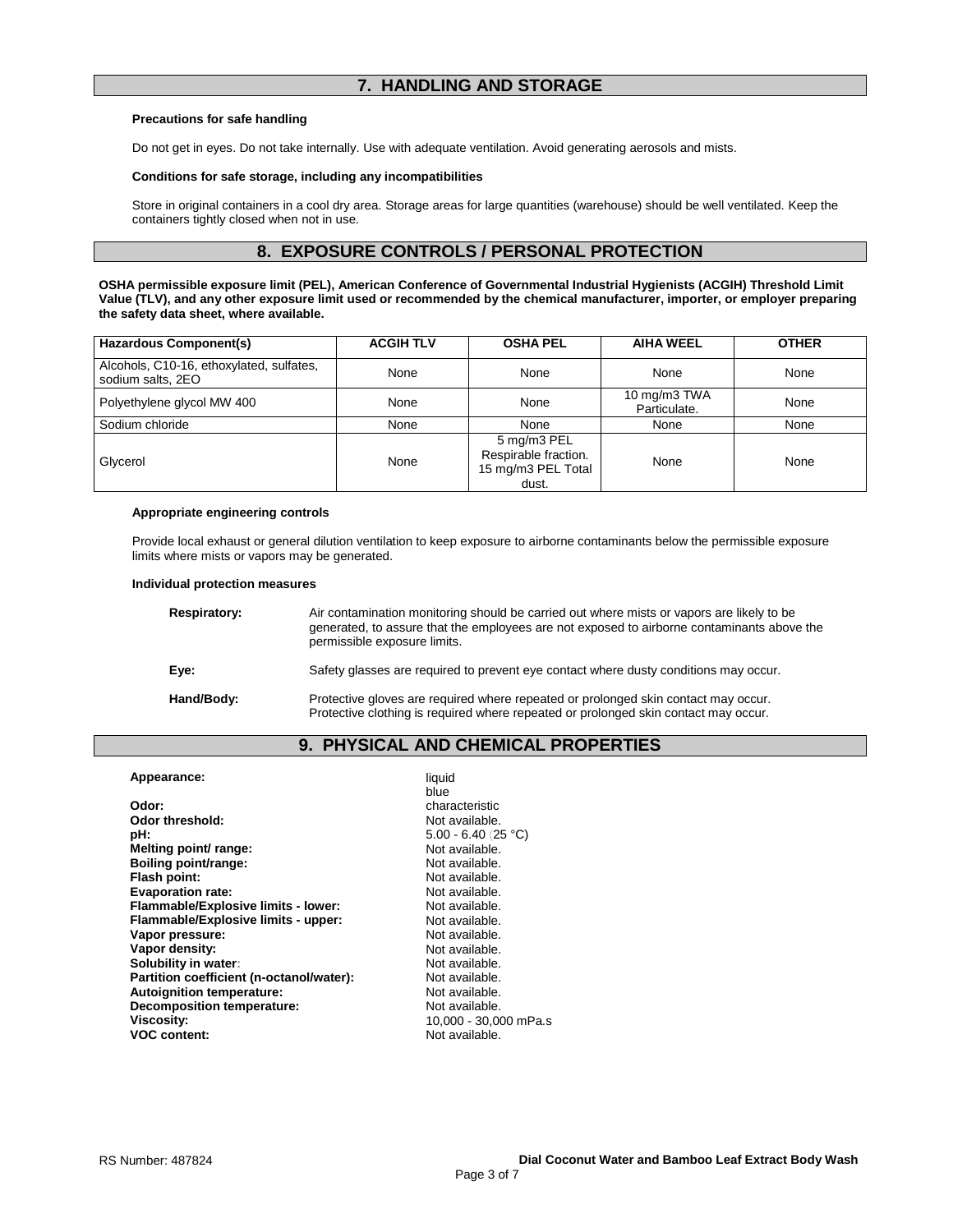## **7. HANDLING AND STORAGE**

#### **Precautions for safe handling**

Do not get in eyes. Do not take internally. Use with adequate ventilation. Avoid generating aerosols and mists.

#### **Conditions for safe storage, including any incompatibilities**

Store in original containers in a cool dry area. Storage areas for large quantities (warehouse) should be well ventilated. Keep the containers tightly closed when not in use.

## **8. EXPOSURE CONTROLS / PERSONAL PROTECTION**

**OSHA permissible exposure limit (PEL), American Conference of Governmental Industrial Hygienists (ACGIH) Threshold Limit Value (TLV), and any other exposure limit used or recommended by the chemical manufacturer, importer, or employer preparing the safety data sheet, where available.**

| Hazardous Component(s)                                        | <b>ACGIH TLV</b> | <b>OSHA PEL</b>                                                    | <b>AIHA WEEL</b>             | <b>OTHER</b> |
|---------------------------------------------------------------|------------------|--------------------------------------------------------------------|------------------------------|--------------|
| Alcohols, C10-16, ethoxylated, sulfates,<br>sodium salts, 2EO | None             | None                                                               | None                         | None         |
| Polyethylene glycol MW 400                                    | None             | None                                                               | 10 mg/m3 TWA<br>Particulate. | None         |
| Sodium chloride                                               | None             | None                                                               | None                         | None         |
| Glycerol                                                      | None             | 5 mg/m3 PEL<br>Respirable fraction.<br>15 mg/m3 PEL Total<br>dust. | None                         | None         |

#### **Appropriate engineering controls**

Provide local exhaust or general dilution ventilation to keep exposure to airborne contaminants below the permissible exposure limits where mists or vapors may be generated.

#### **Individual protection measures**

| Respiratory: | Air contamination monitoring should be carried out where mists or vapors are likely to be<br>generated, to assure that the employees are not exposed to airborne contaminants above the<br>permissible exposure limits. |
|--------------|-------------------------------------------------------------------------------------------------------------------------------------------------------------------------------------------------------------------------|
| Eve:         | Safety glasses are required to prevent eye contact where dusty conditions may occur.                                                                                                                                    |
| Hand/Body:   | Protective gloves are required where repeated or prolonged skin contact may occur.<br>Protective clothing is required where repeated or prolonged skin contact may occur.                                               |

## **9. PHYSICAL AND CHEMICAL PROPERTIES**

| Appearance:                              | liquid<br>blue        |
|------------------------------------------|-----------------------|
| Odor:                                    | characteristic        |
| Odor threshold:                          | Not available.        |
| pH:                                      | $5.00 - 6.40$ (25 °C) |
| Melting point/ range:                    | Not available.        |
| Boiling point/range:                     | Not available.        |
| Flash point:                             | Not available.        |
| <b>Evaporation rate:</b>                 | Not available.        |
| Flammable/Explosive limits - lower:      | Not available.        |
| Flammable/Explosive limits - upper:      | Not available.        |
| Vapor pressure:                          | Not available.        |
| Vapor density:                           | Not available.        |
| Solubility in water:                     | Not available.        |
| Partition coefficient (n-octanol/water): | Not available.        |
| Autoignition temperature:                | Not available.        |
| <b>Decomposition temperature:</b>        | Not available.        |
| Viscosity:                               | 10,000 - 30,000 mPa.s |
| <b>VOC content:</b>                      | Not available.        |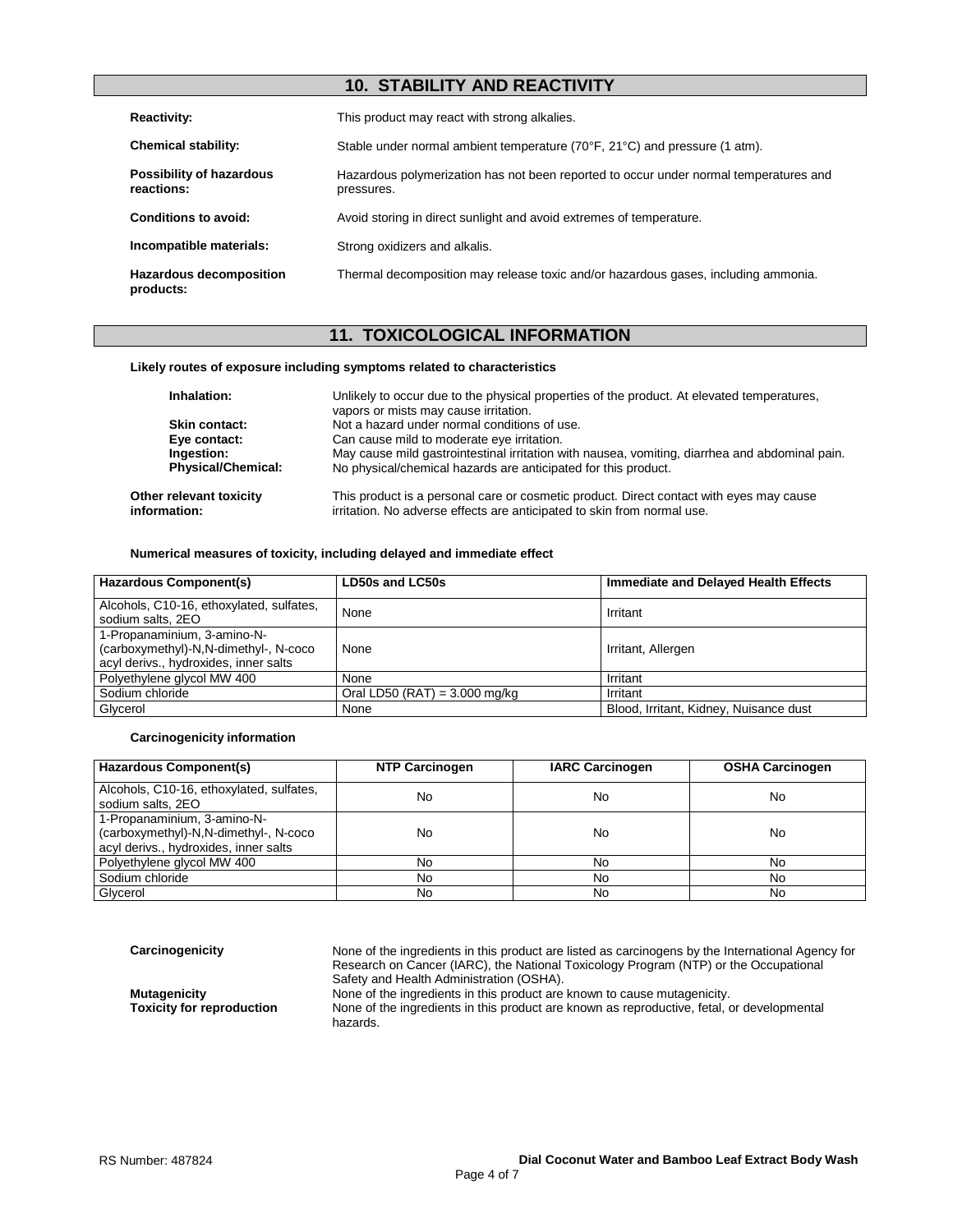## **10. STABILITY AND REACTIVITY**

| <b>Reactivity:</b>                          | This product may react with strong alkalies.                                                        |
|---------------------------------------------|-----------------------------------------------------------------------------------------------------|
| <b>Chemical stability:</b>                  | Stable under normal ambient temperature (70°F, 21°C) and pressure (1 atm).                          |
| Possibility of hazardous<br>reactions:      | Hazardous polymerization has not been reported to occur under normal temperatures and<br>pressures. |
| Conditions to avoid:                        | Avoid storing in direct sunlight and avoid extremes of temperature.                                 |
| Incompatible materials:                     | Strong oxidizers and alkalis.                                                                       |
| <b>Hazardous decomposition</b><br>products: | Thermal decomposition may release toxic and/or hazardous gases, including ammonia.                  |

# **11. TOXICOLOGICAL INFORMATION**

#### **Likely routes of exposure including symptoms related to characteristics**

| Inhalation:                             | Unlikely to occur due to the physical properties of the product. At elevated temperatures,<br>vapors or mists may cause irritation.                                |
|-----------------------------------------|--------------------------------------------------------------------------------------------------------------------------------------------------------------------|
| Skin contact:                           | Not a hazard under normal conditions of use.                                                                                                                       |
| Eye contact:                            | Can cause mild to moderate eye irritation.                                                                                                                         |
| Ingestion:                              | May cause mild gastrointestinal irritation with nausea, vomiting, diarrhea and abdominal pain.                                                                     |
| <b>Physical/Chemical:</b>               | No physical/chemical hazards are anticipated for this product.                                                                                                     |
| Other relevant toxicity<br>information: | This product is a personal care or cosmetic product. Direct contact with eyes may cause<br>irritation. No adverse effects are anticipated to skin from normal use. |

#### **Numerical measures of toxicity, including delayed and immediate effect**

| Hazardous Component(s)                                                                                        | LD50s and LC50s                 | Immediate and Delayed Health Effects   |
|---------------------------------------------------------------------------------------------------------------|---------------------------------|----------------------------------------|
| Alcohols, C10-16, ethoxylated, sulfates,<br>sodium salts, 2EO                                                 | None                            | Irritant                               |
| 1-Propanaminium, 3-amino-N-<br>(carboxymethyl)-N,N-dimethyl-, N-coco<br>acyl derivs., hydroxides, inner salts | None                            | Irritant, Allergen                     |
| Polyethylene glycol MW 400                                                                                    | None                            | Irritant                               |
| Sodium chloride                                                                                               | Oral LD50 (RAT) = $3.000$ mg/kg | Irritant                               |
| Glycerol                                                                                                      | None                            | Blood, Irritant, Kidney, Nuisance dust |

#### **Carcinogenicity information**

| <b>Hazardous Component(s)</b>                                                                                 | <b>NTP Carcinogen</b> | <b>IARC Carcinogen</b> | <b>OSHA Carcinogen</b> |
|---------------------------------------------------------------------------------------------------------------|-----------------------|------------------------|------------------------|
| Alcohols, C10-16, ethoxylated, sulfates,<br>sodium salts, 2EO                                                 | No                    | No                     | No                     |
| 1-Propanaminium, 3-amino-N-<br>(carboxymethyl)-N,N-dimethyl-, N-coco<br>acyl derivs., hydroxides, inner salts | No                    | No                     | No                     |
| Polyethylene glycol MW 400                                                                                    | No                    | No                     | No                     |
| Sodium chloride                                                                                               | No                    | No                     | No.                    |
| Glycerol                                                                                                      | No                    | No                     | No.                    |

**Carcinogenicity** None of the ingredients in this product are listed as carcinogens by the International Agency for Research on Cancer (IARC), the National Toxicology Program (NTP) or the Occupational Safety and Health Administration (OSHA).

**Mutagenicity**<br> **None of the ingredients in this product are known to cause mutagenicity.<br>
Toxicity for reproduction** Mone of the ingredients in this product are known as reproductive, fetal, on None of the ingredients in this product are known as reproductive, fetal, or developmental hazards.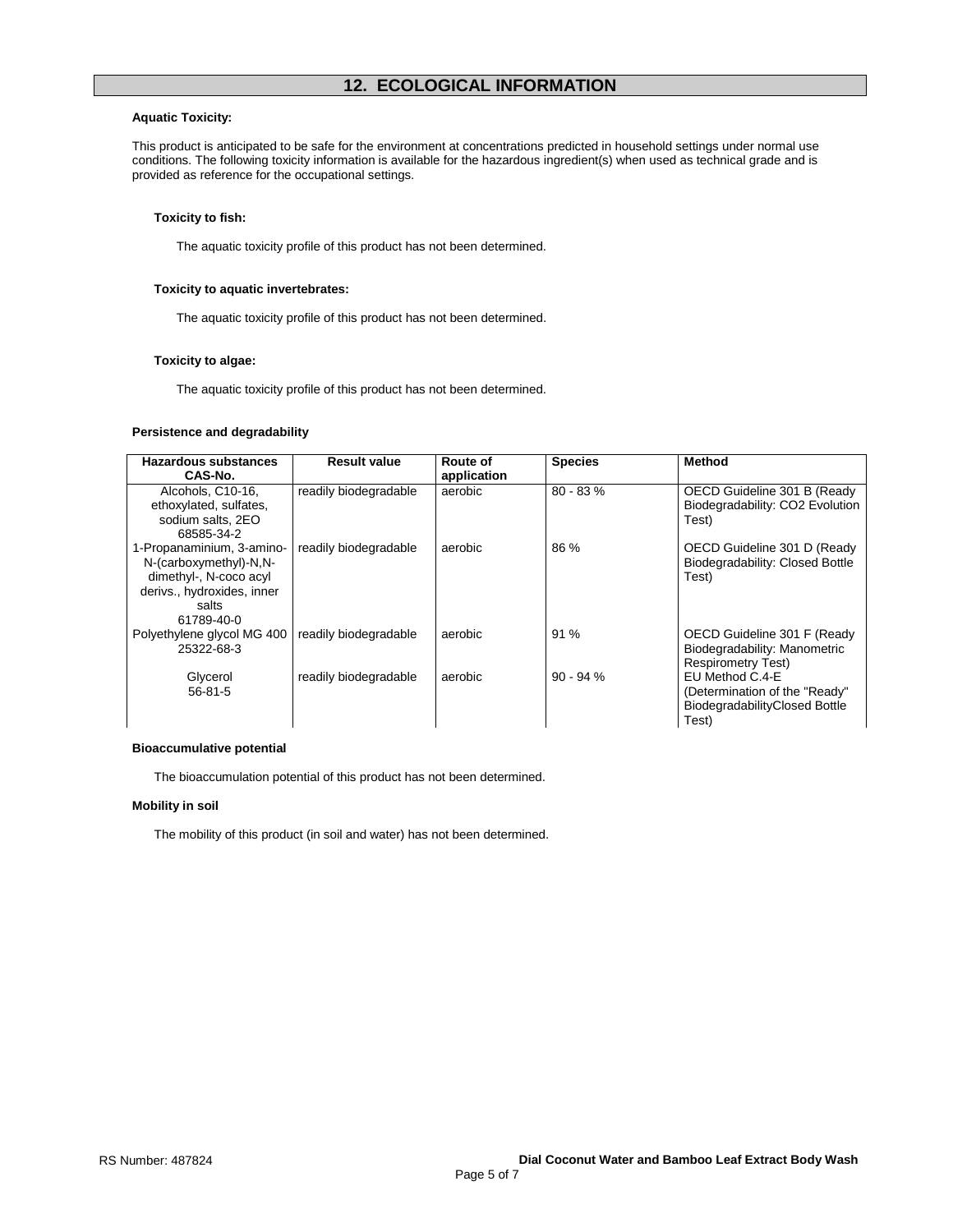#### **Aquatic Toxicity:**

This product is anticipated to be safe for the environment at concentrations predicted in household settings under normal use conditions. The following toxicity information is available for the hazardous ingredient(s) when used as technical grade and is provided as reference for the occupational settings.

#### **Toxicity to fish:**

The aquatic toxicity profile of this product has not been determined.

#### **Toxicity to aquatic invertebrates:**

The aquatic toxicity profile of this product has not been determined.

#### **Toxicity to algae:**

The aquatic toxicity profile of this product has not been determined.

#### **Persistence and degradability**

| <b>Hazardous substances</b>                 | <b>Result value</b>   | Route of    | <b>Species</b> | <b>Method</b>                                                  |
|---------------------------------------------|-----------------------|-------------|----------------|----------------------------------------------------------------|
| CAS-No.                                     |                       | application |                |                                                                |
| Alcohols, C10-16,<br>ethoxylated, sulfates, | readily biodegradable | aerobic     | $80 - 83%$     | OECD Guideline 301 B (Ready<br>Biodegradability: CO2 Evolution |
| sodium salts, 2EO                           |                       |             |                | Test)                                                          |
| 68585-34-2                                  |                       |             |                |                                                                |
| 1-Propanaminium, 3-amino-                   | readily biodegradable | aerobic     | 86 %           | OECD Guideline 301 D (Ready                                    |
| N-(carboxymethyl)-N,N-                      |                       |             |                | Biodegradability: Closed Bottle                                |
| dimethyl-, N-coco acyl                      |                       |             |                | Test)                                                          |
| derivs., hydroxides, inner                  |                       |             |                |                                                                |
| salts                                       |                       |             |                |                                                                |
| 61789-40-0                                  |                       |             |                |                                                                |
| Polyethylene glycol MG 400                  | readily biodegradable | aerobic     | 91%            | OECD Guideline 301 F (Ready                                    |
| 25322-68-3                                  |                       |             |                | Biodegradability: Manometric                                   |
|                                             |                       |             |                | <b>Respirometry Test)</b>                                      |
| Glycerol                                    | readily biodegradable | aerobic     | $90 - 94%$     | EU Method C.4-E                                                |
| $56 - 81 - 5$                               |                       |             |                | (Determination of the "Ready"                                  |
|                                             |                       |             |                | BiodegradabilityClosed Bottle                                  |
|                                             |                       |             |                | Test)                                                          |

### **Bioaccumulative potential**

The bioaccumulation potential of this product has not been determined.

#### **Mobility in soil**

The mobility of this product (in soil and water) has not been determined.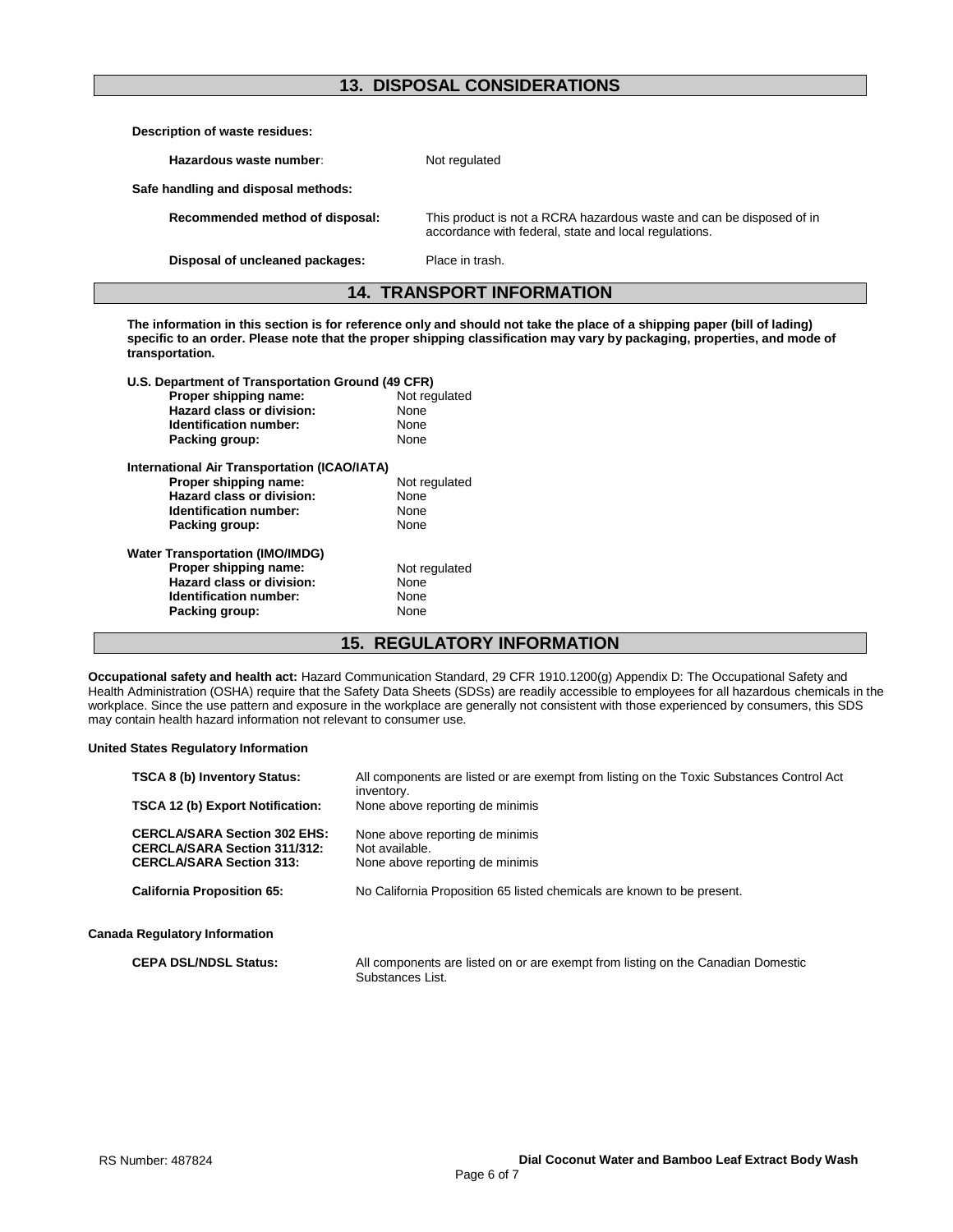## **13. DISPOSAL CONSIDERATIONS**

| Description of waste residues:      |                                                                                                                               |  |
|-------------------------------------|-------------------------------------------------------------------------------------------------------------------------------|--|
| Hazardous waste number:             | Not regulated                                                                                                                 |  |
| Safe handling and disposal methods: |                                                                                                                               |  |
| Recommended method of disposal:     | This product is not a RCRA hazardous waste and can be disposed of in<br>accordance with federal, state and local regulations. |  |
| Disposal of uncleaned packages:     | Place in trash.                                                                                                               |  |
| <b>14. TRANSPORT INFORMATION</b>    |                                                                                                                               |  |

**The information in this section is for reference only and should not take the place of a shipping paper (bill of lading) specific to an order. Please note that the proper shipping classification may vary by packaging, properties, and mode of transportation.**

| U.S. Department of Transportation Ground (49 CFR) |               |  |
|---------------------------------------------------|---------------|--|
| Proper shipping name:                             | Not regulated |  |
| Hazard class or division:                         | None          |  |
| Identification number:                            | None          |  |
| Packing group:                                    | None          |  |
| International Air Transportation (ICAO/IATA)      |               |  |
| Proper shipping name:                             | Not regulated |  |
| Hazard class or division:                         | None          |  |
| Identification number:                            | None          |  |
| Packing group:                                    | None          |  |
| <b>Water Transportation (IMO/IMDG)</b>            |               |  |
| Proper shipping name:                             | Not regulated |  |
| Hazard class or division:                         | None          |  |
| Identification number:                            | None          |  |
| Packing group:                                    | None          |  |
|                                                   |               |  |

## **15. REGULATORY INFORMATION**

**Occupational safety and health act:** Hazard Communication Standard, 29 CFR 1910.1200(g) Appendix D: The Occupational Safety and Health Administration (OSHA) require that the Safety Data Sheets (SDSs) are readily accessible to employees for all hazardous chemicals in the workplace. Since the use pattern and exposure in the workplace are generally not consistent with those experienced by consumers, this SDS may contain health hazard information not relevant to consumer use.

#### **United States Regulatory Information**

| <b>TSCA 8 (b) Inventory Status:</b>                                                                           | All components are listed or are exempt from listing on the Toxic Substances Control Act |
|---------------------------------------------------------------------------------------------------------------|------------------------------------------------------------------------------------------|
| <b>TSCA 12 (b) Export Notification:</b>                                                                       | inventory.<br>None above reporting de minimis                                            |
| <b>CERCLA/SARA Section 302 EHS:</b><br><b>CERCLA/SARA Section 311/312:</b><br><b>CERCLA/SARA Section 313:</b> | None above reporting de minimis<br>Not available.<br>None above reporting de minimis     |
| <b>California Proposition 65:</b>                                                                             | No California Proposition 65 listed chemicals are known to be present.                   |
| <b>Canada Regulatory Information</b>                                                                          |                                                                                          |
| <b>CEPA DSL/NDSL Status:</b>                                                                                  | All components are listed on or are exempt from listing on the Canadian Domestic         |

**Substances List.**